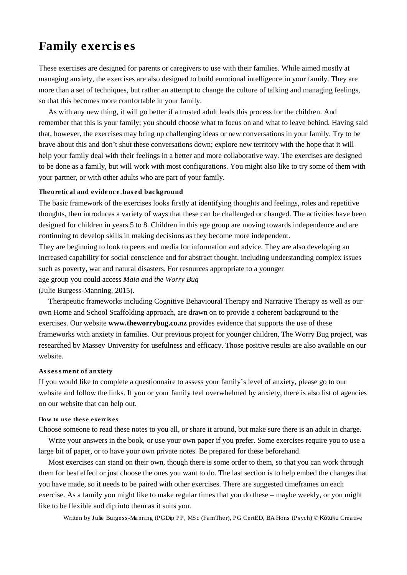# Family exercises

These exercises are designed for parents or caregivers to use with their families. While aimed mostly at managing anxiety, the exercises are also designed to build emotional intelligence in your family. They are more than a set of techniques, but rather an attempt to change the culture of talking and managing feelings, so that this becomes more comfortable in your family.

As with any new thing, it will go better if a trusted adult leads this process for the children. And remember that this is your family; you should choose what to focus on and what to leave behind. Having said that, however, the exercises may bring up challenging ideas or new conversations in your family. Try to be brave about this and don't shut these conversations down; explore new territory with the hope that it will help your family deal with their feelings in a better and more collaborative way. The exercises are designed to be done as a family, but will work with most configurations. You might also like to try some of them with your partner, or with other adults who are part of your family.

#### Theoretical and evidence-based background

The basic framework of the exercises looks firstly at identifying thoughts and feelings, roles and repetitive thoughts, then introduces a variety of ways that these can be challenged or changed. The activities have been designed for children in years 5 to 8. Children in this age group are moving towards independence and are continuing to develop skills in making decisions as they become more independent.

They are beginning to look to peers and media for information and advice. They are also developing an increased capability for social conscience and for abstract thought, including understanding complex issues such as poverty, war and natural disasters. For resources appropriate to a younger age group you could access *Maia and the Worry Bug* (Julie Burgess-Manning, 2015).

Therapeutic frameworks including Cognitive Behavioural Therapy and Narrative Therapy as well as our own Home and School Scaffolding approach, are drawn on to provide a coherent background to the exercises. Our website **www.theworrybug.co.nz** provides evidence that supports the use of these frameworks with anxiety in families. Our previous project for younger children, The Worry Bug project, was researched by Massey University for usefulness and efficacy. Those positive results are also available on our website.

## Assessment of anxiety

If you would like to complete a questionnaire to assess your family's level of anxiety, please go to our website and follow the links. If you or your family feel overwhelmed by anxiety, there is also list of agencies on our website that can help out.

#### How to use these exercises

Choose someone to read these notes to you all, or share it around, but make sure there is an adult in charge.

Write your answers in the book, or use your own paper if you prefer. Some exercises require you to use a large bit of paper, or to have your own private notes. Be prepared for these beforehand.

Most exercises can stand on their own, though there is some order to them, so that you can work through them for best effect or just choose the ones you want to do. The last section is to help embed the changes that you have made, so it needs to be paired with other exercises. There are suggested timeframes on each exercise. As a family you might like to make regular times that you do these – maybe weekly, or you might like to be flexible and dip into them as it suits you.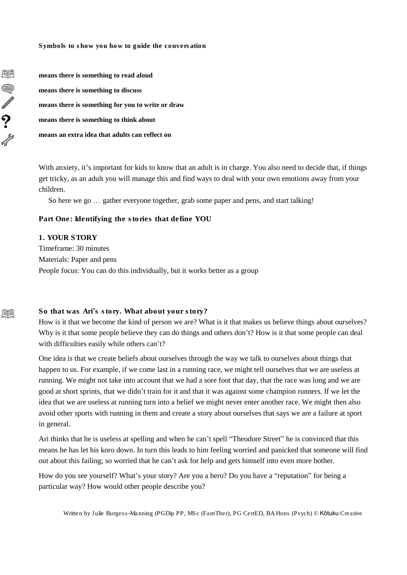Symbols to show you how to guide the conversation

**means there is something to read aloud means there is something to discuss means there is something for you to write or draw means there is something to think about means an extra idea that adults can reflect on**

With anxiety, it's important for kids to know that an adult is in charge. You also need to decide that, if things get tricky, as an adult you will manage this and find ways to deal with your own emotions away from your children.

So here we go … gather everyone together, grab some paper and pens, and start talking!

Part One: Identifying the stories that define YOU

1. YOUR STORY Timeframe: 30 minutes Materials: Paper and pens People focus: You can do this individually, but it works better as a group

# So that was Ari's story. What about your story?

How is it that we become the kind of person we are? What is it that makes us believe things about ourselves? Why is it that some people believe they can do things and others don't? How is it that some people can deal with difficulties easily while others can't?

One idea is that we create beliefs about ourselves through the way we talk to ourselves about things that happen to us. For example, if we come last in a running race, we might tell ourselves that we are useless at running. We might not take into account that we had a sore foot that day, that the race was long and we are good at short sprints, that we didn't train for it and that it was against some champion runners. If we let the idea that we are useless at running turn into a belief we might never enter another race. We might then also avoid other sports with running in them and create a story about ourselves that says we are a failure at sport in general.

Ari thinks that he is useless at spelling and when he can't spell "Theodore Street" he is convinced that this means he has let his koro down. In turn this leads to him feeling worried and panicked that someone will find out about this failing; so worried that he can't ask for help and gets himself into even more bother.

How do you see yourself? What's your story? Are you a hero? Do you have a "reputation" for being a particular way? How would other people describe you?

Written by Julie Burgess-Manning (PGDip PP, MSc (FamTher), PG CertED, BA Hons (Psych) © Kōtuku Creative

圍

S

 $\sum_{i=1}^{n}$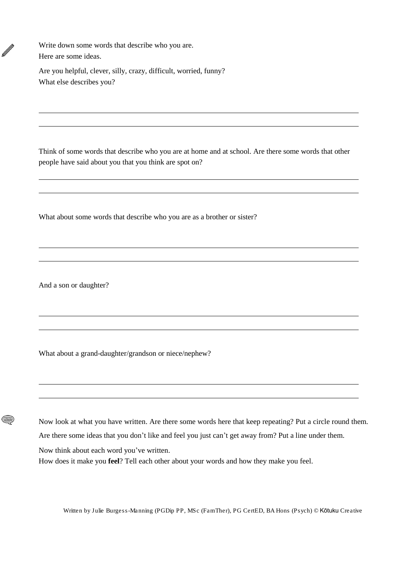Write down some words that describe who you are. Here are some ideas.

Ø

 $(\widetilde{\widetilde{\Xi}})$ 

Are you helpful, clever, silly, crazy, difficult, worried, funny? What else describes you?

Think of some words that describe who you are at home and at school. Are there some words that other people have said about you that you think are spot on?

What about some words that describe who you are as a brother or sister?

And a son or daughter?

What about a grand-daughter/grandson or niece/nephew?

Now look at what you have written. Are there some words here that keep repeating? Put a circle round them. Are there some ideas that you don't like and feel you just can't get away from? Put a line under them.

Now think about each word you've written.

How does it make you **feel**? Tell each other about your words and how they make you feel.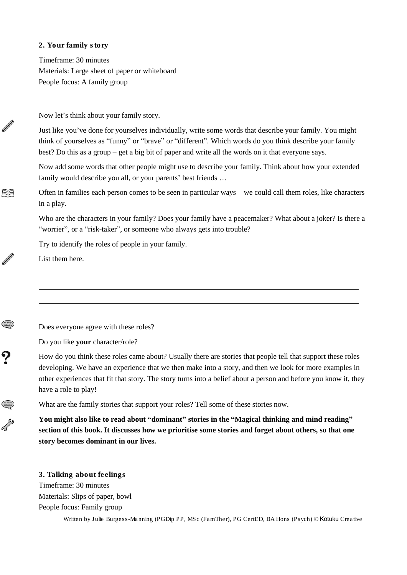## 2. Your family story

Timeframe: 30 minutes Materials: Large sheet of paper or whiteboard People focus: A family group

Now let's think about your family story.

Just like you've done for yourselves individually, write some words that describe your family. You might think of yourselves as "funny" or "brave" or "different". Which words do you think describe your family best? Do this as a group – get a big bit of paper and write all the words on it that everyone says.

Now add some words that other people might use to describe your family. Think about how your extended family would describe you all, or your parents' best friends …

Often in families each person comes to be seen in particular ways – we could call them roles, like characters in a play.

Who are the characters in your family? Does your family have a peacemaker? What about a joker? Is there a "worrier", or a "risk-taker", or someone who always gets into trouble?

Try to identify the roles of people in your family.

List them here.

N

用

N

Does everyone agree with these roles?

Do you like **your** character/role?

How do you think these roles came about? Usually there are stories that people tell that support these roles developing. We have an experience that we then make into a story, and then we look for more examples in other experiences that fit that story. The story turns into a belief about a person and before you know it, they have a role to play!

What are the family stories that support your roles? Tell some of these stories now.

**You might also like to read about "dominant" stories in the "Magical thinking and mind reading"** section of this book. It discusses how we prioritise some stories and forget about others, so that one **story becomes dominant in our lives.**

3. Talking about feelings Timeframe: 30 minutes Materials: Slips of paper, bowl People focus: Family group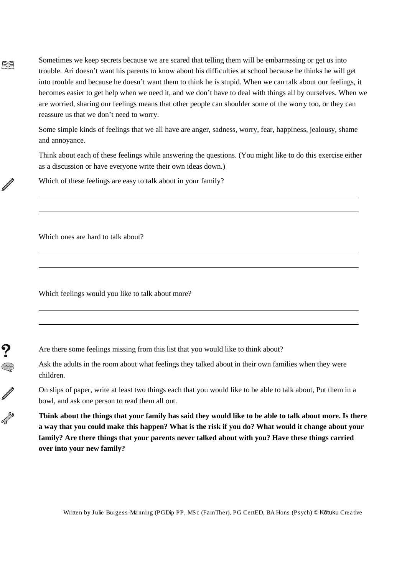Sometimes we keep secrets because we are scared that telling them will be embarrassing or get us into trouble. Ari doesn't want his parents to know about his difficulties at school because he thinks he will get into trouble and because he doesn't want them to think he is stupid. When we can talk about our feelings, it becomes easier to get help when we need it, and we don't have to deal with things all by ourselves. When we are worried, sharing our feelings means that other people can shoulder some of the worry too, or they can reassure us that we don't need to worry.

Some simple kinds of feelings that we all have are anger, sadness, worry, fear, happiness, jealousy, shame and annoyance.

Think about each of these feelings while answering the questions. (You might like to do this exercise either as a discussion or have everyone write their own ideas down.)

Which of these feelings are easy to talk about in your family?

Which ones are hard to talk about?

尾目

 $\mathbb{Z}$ 

?<br>《

 $\mathbb{Z}$ 

Which feelings would you like to talk about more?

Are there some feelings missing from this list that you would like to think about?

Ask the adults in the room about what feelings they talked about in their own families when they were children.

On slips of paper, write at least two things each that you would like to be able to talk about, Put them in a bowl, and ask one person to read them all out.

Think about the things that your family has said they would like to be able to talk about more. Is there a way that you could make this happen? What is the risk if you do? What would it change about your **family? Are there things that your parents never talked about with you? Have these things carried over into your new family?**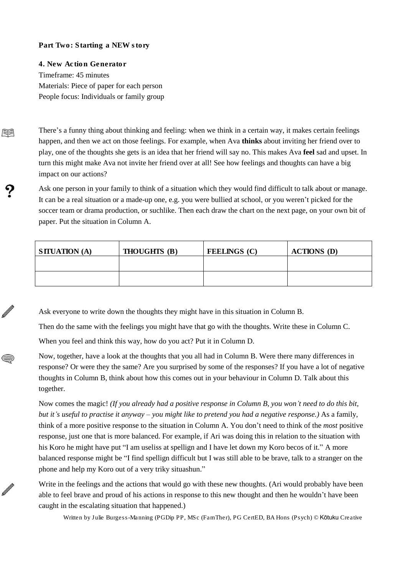# Part Two: Starting a NEW story

腘

Ø

Ø

4. New Action Generator Timeframe: 45 minutes Materials: Piece of paper for each person People focus: Individuals or family group

There's a funny thing about thinking and feeling: when we think in a certain way, it makes certain feelings happen, and then we act on those feelings. For example, when Ava **thinks** about inviting her friend over to play, one of the thoughts she gets is an idea that her friend will say no. This makes Ava **feel** sad and upset. In turn this might make Ava not invite her friend over at all! See how feelings and thoughts can have a big impact on our actions?

Ask one person in your family to think of a situation which they would find difficult to talk about or manage. It can be a real situation or a made-up one, e.g. you were bullied at school, or you weren't picked for the soccer team or drama production, or suchlike. Then each draw the chart on the next page, on your own bit of paper. Put the situation in Column A.

| $\vert$ SITUATION (A) | THOUGHTS (B) | FEELINGS (C) | ACTIONS (D) |
|-----------------------|--------------|--------------|-------------|
|                       |              |              |             |
|                       |              |              |             |

Ask everyone to write down the thoughts they might have in this situation in Column B.

Then do the same with the feelings you might have that go with the thoughts. Write these in Column C.

When you feel and think this way, how do you act? Put it in Column D.

Now, together, have a look at the thoughts that you all had in Column B. Were there many differences in response? Or were they the same? Are you surprised by some of the responses? If you have a lot of negative thoughts in Column B, think about how this comes out in your behaviour in Column D. Talk about this together.

Now comes the magic! *(If you already had a positive response in Column B, you won't need to do this bit,* but it's useful to practise it anyway – you might like to pretend you had a negative response.) As a family, think of a more positive response to the situation in Column A. You don't need to think of the *most* positive response, just one that is more balanced. For example, if Ari was doing this in relation to the situation with his Koro he might have put "I am useliss at spellign and I have let down my Koro becos of it." A more balanced response might be "I find spellign difficult but I was still able to be brave, talk to a stranger on the phone and help my Koro out of a very triky situashun."

Write in the feelings and the actions that would go with these new thoughts. (Ari would probably have been able to feel brave and proud of his actions in response to this new thought and then he wouldn't have been caught in the escalating situation that happened.)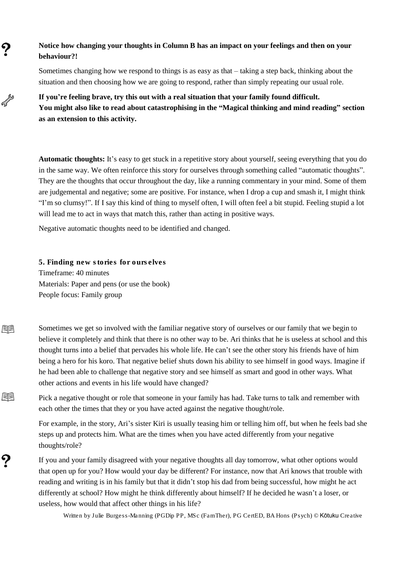# **Notice how changing your thoughts in Column B has an impact on your feelings and then on your behaviour?!**

Sometimes changing how we respond to things is as easy as that – taking a step back, thinking about the situation and then choosing how we are going to respond, rather than simply repeating our usual role.

**If you're feeling brave, try this out with a real situation that your family found difficult. You might also like to read about catastrophising in the "Magical thinking and mind reading" section as an extension to this activity.**

**Automatic thoughts:** It's easy to get stuck in a repetitive story about yourself, seeing everything that you do in the same way. We often reinforce this story for ourselves through something called "automatic thoughts". They are the thoughts that occur throughout the day, like a running commentary in your mind. Some of them are judgemental and negative; some are positive. For instance, when I drop a cup and smash it, I might think "I'm so clumsy!". If I say this kind of thing to myself often, I will often feel a bit stupid. Feeling stupid a lot will lead me to act in ways that match this, rather than acting in positive ways.

Negative automatic thoughts need to be identified and changed.

5. Finding new stories for ourselves Timeframe: 40 minutes Materials: Paper and pens (or use the book) People focus: Family group

 $\boldsymbol{Q}$ 

AV RD

尾目

全国

႒

Sometimes we get so involved with the familiar negative story of ourselves or our family that we begin to believe it completely and think that there is no other way to be. Ari thinks that he is useless at school and this thought turns into a belief that pervades his whole life. He can't see the other story his friends have of him being a hero for his koro. That negative belief shuts down his ability to see himself in good ways. Imagine if he had been able to challenge that negative story and see himself as smart and good in other ways. What other actions and events in his life would have changed?

Pick a negative thought or role that someone in your family has had. Take turns to talk and remember with each other the times that they or you have acted against the negative thought/role.

For example, in the story, Ari's sister Kiri is usually teasing him or telling him off, but when he feels bad she steps up and protects him. What are the times when you have acted differently from your negative thoughts/role?

If you and your family disagreed with your negative thoughts all day tomorrow, what other options would that open up for you? How would your day be different? For instance, now that Ari knows that trouble with reading and writing is in his family but that it didn't stop his dad from being successful, how might he act differently at school? How might he think differently about himself? If he decided he wasn't a loser, or useless, how would that affect other things in his life?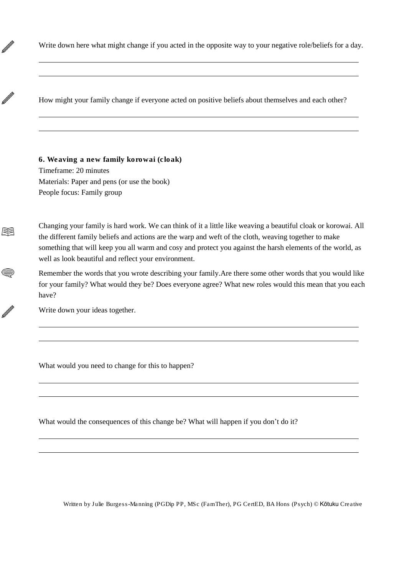Write down here what might change if you acted in the opposite way to your negative role/beliefs for a day.

How might your family change if everyone acted on positive beliefs about themselves and each other?

6. Weaving a new family korowai (cloak) Timeframe: 20 minutes Materials: Paper and pens (or use the book) People focus: Family group

Ø

N

尾目

 $\textcircled{\scriptsize{\textsf{max}}}$ 

N

Changing your family is hard work. We can think of it a little like weaving a beautiful cloak or korowai. All the different family beliefs and actions are the warp and weft of the cloth, weaving together to make something that will keep you all warm and cosy and protect you against the harsh elements of the world, as well as look beautiful and reflect your environment.

Remember the words that you wrote describing your family.Are there some other words that you would like for your family? What would they be? Does everyone agree? What new roles would this mean that you each have?

Write down your ideas together.

What would you need to change for this to happen?

What would the consequences of this change be? What will happen if you don't do it?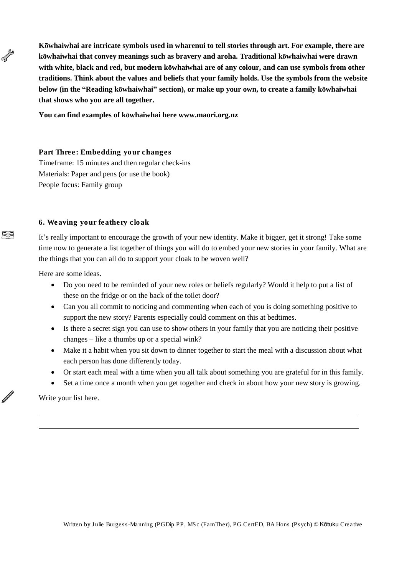**Kōwhaiwhai are intricate symbols used in wharenui to tell stories through art. For example, there are kōwhaiwhai that convey meanings such as bravery and aroha. Traditional kōwhaiwhai were drawn with white, black and red, but modern kōwhaiwhai are of any colour, and can use symbols from other traditions. Think about the values and beliefs that your family holds. Use the symbols from the website below (in the "Reading kōwhaiwhai" section), or make up your own, to create a family kōwhaiwhai that shows who you are all together.**

**You can find examples of kōwhaiwhai here www.maori.org.nz**

Part Three: Embedding your changes Timeframe: 15 minutes and then regular check-ins Materials: Paper and pens (or use the book) People focus: Family group

6. Weaving your feathery cloak

It's really important to encourage the growth of your new identity. Make it bigger, get it strong! Take some time now to generate a list together of things you will do to embed your new stories in your family. What are the things that you can all do to support your cloak to be woven well?

Here are some ideas.

AV RD

腘

N

- Do you need to be reminded of your new roles or beliefs regularly? Would it help to put a list of these on the fridge or on the back of the toilet door?
- Can you all commit to noticing and commenting when each of you is doing something positive to support the new story? Parents especially could comment on this at bedtimes.
- Is there a secret sign you can use to show others in your family that you are noticing their positive changes – like a thumbs up or a special wink?
- Make it a habit when you sit down to dinner together to start the meal with a discussion about what each person has done differently today.
- Or start each meal with a time when you all talk about something you are grateful for in this family.
- Set a time once a month when you get together and check in about how your new story is growing.

Write your list here.